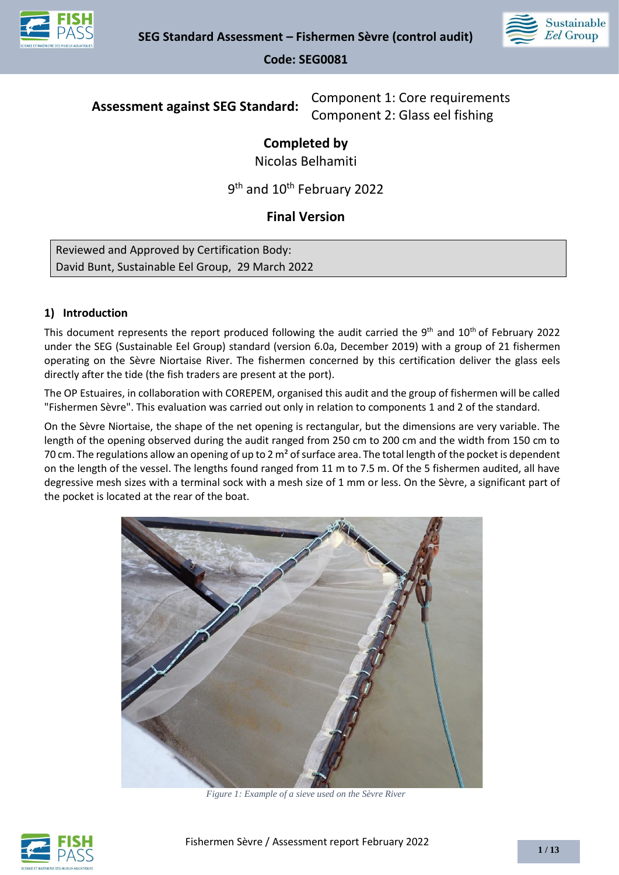



**Assessment against SEG Standard:** Component 1: Core requirements Component 2: Glass eel fishing

# **Completed by**

Nicolas Belhamiti

9<sup>th</sup> and 10<sup>th</sup> February 2022

# **Final Version**

Reviewed and Approved by Certification Body: David Bunt, Sustainable Eel Group, 29 March 2022

## **1) Introduction**

This document represents the report produced following the audit carried the 9<sup>th</sup> and  $10^{th}$  of February 2022 under the SEG (Sustainable Eel Group) standard (version 6.0a, December 2019) with a group of 21 fishermen operating on the Sèvre Niortaise River. The fishermen concerned by this certification deliver the glass eels directly after the tide (the fish traders are present at the port).

The OP Estuaires, in collaboration with COREPEM, organised this audit and the group of fishermen will be called "Fishermen Sèvre". This evaluation was carried out only in relation to components 1 and 2 of the standard.

On the Sèvre Niortaise, the shape of the net opening is rectangular, but the dimensions are very variable. The length of the opening observed during the audit ranged from 250 cm to 200 cm and the width from 150 cm to 70 cm. The regulations allow an opening of up to 2  $m<sup>2</sup>$  of surface area. The total length of the pocket is dependent on the length of the vessel. The lengths found ranged from 11 m to 7.5 m. Of the 5 fishermen audited, all have degressive mesh sizes with a terminal sock with a mesh size of 1 mm or less. On the Sèvre, a significant part of the pocket is located at the rear of the boat.



*Figure 1: Example of a sieve used on the Sèvre River*

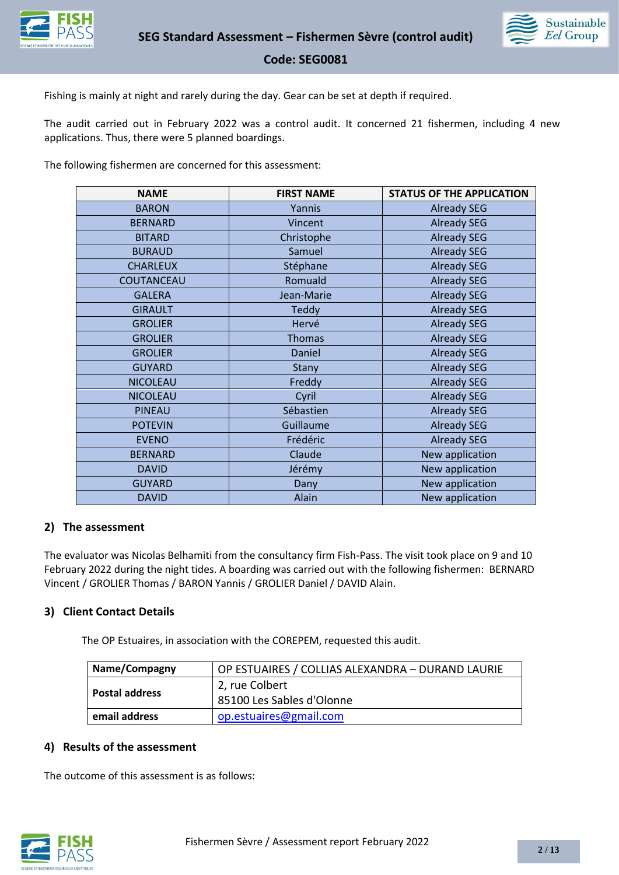



Fishing is mainly at night and rarely during the day. Gear can be set at depth if required.

The audit carried out in February 2022 was a control audit. It concerned 21 fishermen, including 4 new applications. Thus, there were 5 planned boardings.

The following fishermen are concerned for this assessment:

| <b>NAME</b>     | <b>FIRST NAME</b> | <b>STATUS OF THE APPLICATION</b> |
|-----------------|-------------------|----------------------------------|
| <b>BARON</b>    | Yannis            | <b>Already SEG</b>               |
| <b>BERNARD</b>  | Vincent           | <b>Already SEG</b>               |
| <b>BITARD</b>   | Christophe        | <b>Already SEG</b>               |
| <b>BURAUD</b>   | Samuel            | <b>Already SEG</b>               |
| <b>CHARLEUX</b> | Stéphane          | <b>Already SEG</b>               |
| COUTANCEAU      | Romuald           | <b>Already SEG</b>               |
| <b>GALERA</b>   | Jean-Marie        | <b>Already SEG</b>               |
| <b>GIRAULT</b>  | <b>Teddy</b>      | <b>Already SEG</b>               |
| <b>GROLIER</b>  | Hervé             | <b>Already SEG</b>               |
| <b>GROLIER</b>  | <b>Thomas</b>     | <b>Already SEG</b>               |
| <b>GROLIER</b>  | Daniel            | <b>Already SEG</b>               |
| <b>GUYARD</b>   | Stany             | <b>Already SEG</b>               |
| <b>NICOLEAU</b> | Freddy            | <b>Already SEG</b>               |
| <b>NICOLEAU</b> | Cyril             | <b>Already SEG</b>               |
| PINEAU          | Sébastien         | <b>Already SEG</b>               |
| <b>POTEVIN</b>  | Guillaume         | <b>Already SEG</b>               |
| <b>EVENO</b>    | Frédéric          | <b>Already SEG</b>               |
| <b>BERNARD</b>  | Claude            | New application                  |
| <b>DAVID</b>    | Jérémy            | New application                  |
| <b>GUYARD</b>   | Dany              | New application                  |
| <b>DAVID</b>    | Alain             | New application                  |

### **2) The assessment**

The evaluator was Nicolas Belhamiti from the consultancy firm Fish-Pass. The visit took place on 9 and 10 February 2022 during the night tides. A boarding was carried out with the following fishermen: BERNARD Vincent / GROLIER Thomas / BARON Yannis / GROLIER Daniel / DAVID Alain.

### **3) Client Contact Details**

The OP Estuaires, in association with the COREPEM, requested this audit.

| <b>Name/Compagny</b> | OP ESTUAIRES / COLLIAS ALEXANDRA – DURAND LAURIE |  |
|----------------------|--------------------------------------------------|--|
| Postal address       | 2, rue Colbert<br>  85100 Les Sables d'Olonne    |  |
| email address        | op.estuaires@gmail.com                           |  |

### **4) Results of the assessment**

The outcome of this assessment is as follows:

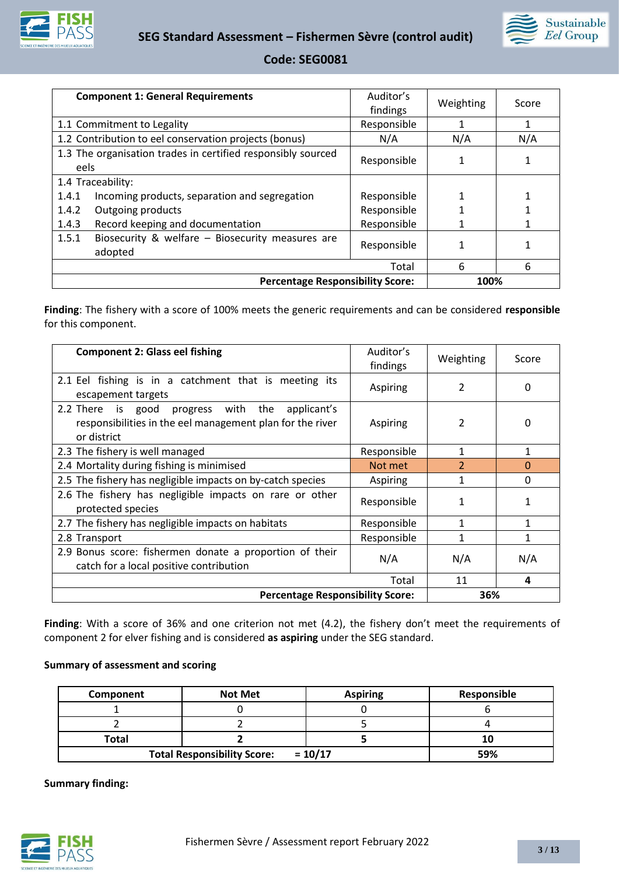



| <b>Component 1: General Requirements</b>                             | Auditor's<br>findings | Weighting | Score |
|----------------------------------------------------------------------|-----------------------|-----------|-------|
| 1.1 Commitment to Legality                                           | Responsible           |           | 1     |
| 1.2 Contribution to eel conservation projects (bonus)                | N/A                   | N/A       | N/A   |
| 1.3 The organisation trades in certified responsibly sourced<br>eels | Responsible           |           |       |
| 1.4 Traceability:                                                    |                       |           |       |
| Incoming products, separation and segregation<br>1.4.1               | Responsible           |           |       |
| 1.4.2<br>Outgoing products                                           | Responsible           |           |       |
| 1.4.3<br>Record keeping and documentation                            | Responsible           |           |       |
| 1.5.1<br>Biosecurity & welfare - Biosecurity measures are<br>adopted | Responsible           |           |       |
|                                                                      | Total                 | 6         | 6     |
| <b>Percentage Responsibility Score:</b>                              |                       | 100%      |       |

**Finding**: The fishery with a score of 100% meets the generic requirements and can be considered **responsible** for this component.

| <b>Component 2: Glass eel fishing</b>                                                                                          | Auditor's<br>findings | Weighting                | Score    |
|--------------------------------------------------------------------------------------------------------------------------------|-----------------------|--------------------------|----------|
| 2.1 Eel fishing is in a catchment that is meeting its<br>escapement targets                                                    | Aspiring              | 2                        | 0        |
| progress with the applicant's<br>2.2 There is good<br>responsibilities in the eel management plan for the river<br>or district | Aspiring              | 2                        | 0        |
| 2.3 The fishery is well managed                                                                                                | Responsible           | 1                        | 1        |
| 2.4 Mortality during fishing is minimised                                                                                      | Not met               | $\overline{\phantom{a}}$ | $\Omega$ |
| 2.5 The fishery has negligible impacts on by-catch species                                                                     | Aspiring              |                          | 0        |
| 2.6 The fishery has negligible impacts on rare or other<br>protected species                                                   | Responsible           | 1                        |          |
| 2.7 The fishery has negligible impacts on habitats                                                                             | Responsible           |                          |          |
| 2.8 Transport                                                                                                                  | Responsible           | 1                        | 1        |
| 2.9 Bonus score: fishermen donate a proportion of their<br>catch for a local positive contribution                             | N/A                   | N/A                      | N/A      |
|                                                                                                                                | Total                 | 11                       | 4        |
| <b>Percentage Responsibility Score:</b>                                                                                        |                       | 36%                      |          |

Finding: With a score of 36% and one criterion not met (4.2), the fishery don't meet the requirements of component 2 for elver fishing and is considered **as aspiring** under the SEG standard.

#### **Summary of assessment and scoring**

| Component | <b>Not Met</b>                     | <b>Aspiring</b> | Responsible |
|-----------|------------------------------------|-----------------|-------------|
|           |                                    |                 |             |
|           |                                    |                 |             |
| Total     |                                    |                 |             |
|           | <b>Total Responsibility Score:</b> | $= 10/17$       | 59%         |

**Summary finding:**

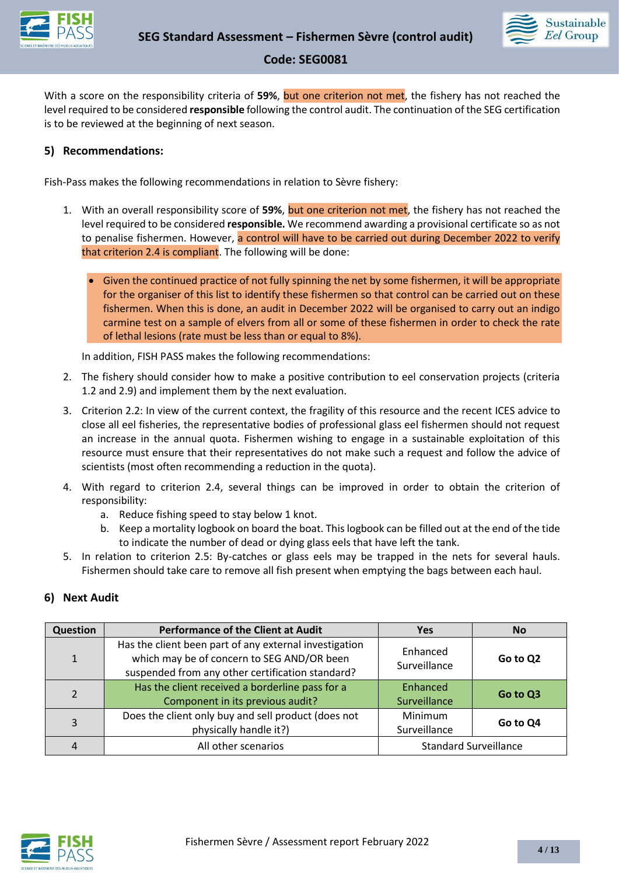



With a score on the responsibility criteria of **59%**, but one criterion not met, the fishery has not reached the level required to be considered **responsible** following the control audit. The continuation of the SEG certification is to be reviewed at the beginning of next season.

### **5) Recommendations:**

Fish-Pass makes the following recommendations in relation to Sèvre fishery:

- 1. With an overall responsibility score of **59%**, but one criterion not met, the fishery has not reached the level required to be considered **responsible.** We recommend awarding a provisional certificate so as not to penalise fishermen. However, a control will have to be carried out during December 2022 to verify that criterion 2.4 is compliant. The following will be done:
	- Given the continued practice of not fully spinning the net by some fishermen, it will be appropriate for the organiser of this list to identify these fishermen so that control can be carried out on these fishermen. When this is done, an audit in December 2022 will be organised to carry out an indigo carmine test on a sample of elvers from all or some of these fishermen in order to check the rate of lethal lesions (rate must be less than or equal to 8%).

In addition, FISH PASS makes the following recommendations:

- 2. The fishery should consider how to make a positive contribution to eel conservation projects (criteria 1.2 and 2.9) and implement them by the next evaluation.
- 3. Criterion 2.2: In view of the current context, the fragility of this resource and the recent ICES advice to close all eel fisheries, the representative bodies of professional glass eel fishermen should not request an increase in the annual quota. Fishermen wishing to engage in a sustainable exploitation of this resource must ensure that their representatives do not make such a request and follow the advice of scientists (most often recommending a reduction in the quota).
- 4. With regard to criterion 2.4, several things can be improved in order to obtain the criterion of responsibility:
	- a. Reduce fishing speed to stay below 1 knot.
	- b. Keep a mortality logbook on board the boat. This logbook can be filled out at the end of the tide to indicate the number of dead or dying glass eels that have left the tank.
- 5. In relation to criterion 2.5: By-catches or glass eels may be trapped in the nets for several hauls. Fishermen should take care to remove all fish present when emptying the bags between each haul.

### **6) Next Audit**

| Question       | <b>Performance of the Client at Audit</b>                                                                                                                | <b>Yes</b>                     | <b>No</b> |
|----------------|----------------------------------------------------------------------------------------------------------------------------------------------------------|--------------------------------|-----------|
| $\mathbf{1}$   | Has the client been part of any external investigation<br>which may be of concern to SEG AND/OR been<br>suspended from any other certification standard? | Enhanced<br>Surveillance       | Go to Q2  |
| $\overline{2}$ | Has the client received a borderline pass for a<br>Component in its previous audit?                                                                      | Enhanced<br>Surveillance       | Go to Q3  |
| 3              | Does the client only buy and sell product (does not<br>physically handle it?)                                                                            | <b>Minimum</b><br>Surveillance | Go to Q4  |
| 4              | All other scenarios                                                                                                                                      | <b>Standard Surveillance</b>   |           |

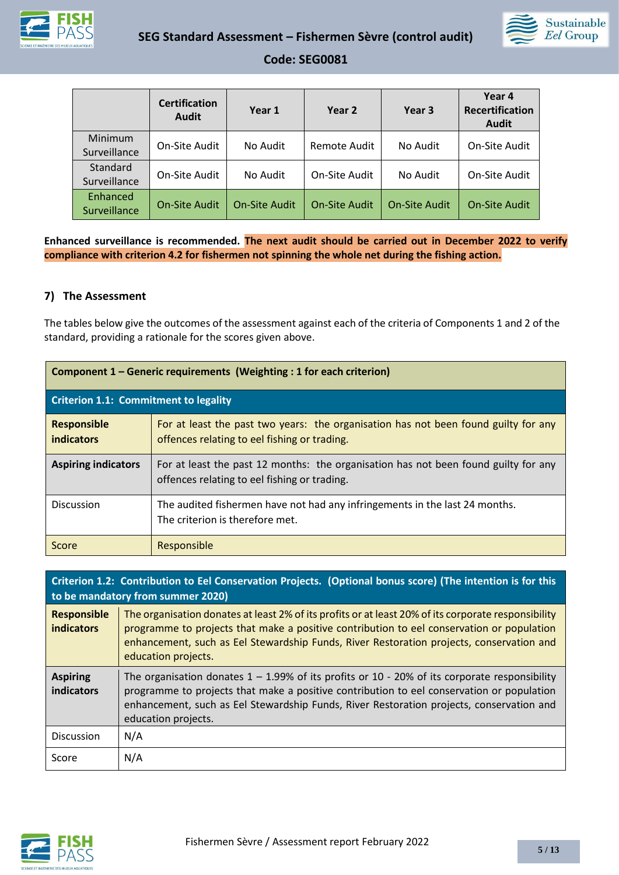



|                          | <b>Certification</b><br><b>Audit</b> | Year 1               | Year 2               | Year 3               | Year 4<br>Recertification<br>Audit |
|--------------------------|--------------------------------------|----------------------|----------------------|----------------------|------------------------------------|
| Minimum<br>Surveillance  | On-Site Audit                        | No Audit             | Remote Audit         | No Audit             | On-Site Audit                      |
| Standard<br>Surveillance | On-Site Audit                        | No Audit             | On-Site Audit        | No Audit             | On-Site Audit                      |
| Enhanced<br>Surveillance | <b>On-Site Audit</b>                 | <b>On-Site Audit</b> | <b>On-Site Audit</b> | <b>On-Site Audit</b> | <b>On-Site Audit</b>               |

**Enhanced surveillance is recommended. The next audit should be carried out in December 2022 to verify compliance with criterion 4.2 for fishermen not spinning the whole net during the fishing action.**

## **7) The Assessment**

The tables below give the outcomes of the assessment against each of the criteria of Components 1 and 2 of the standard, providing a rationale for the scores given above.

| Component 1 – Generic requirements (Weighting : 1 for each criterion) |                                                                                                                                     |  |
|-----------------------------------------------------------------------|-------------------------------------------------------------------------------------------------------------------------------------|--|
| <b>Criterion 1.1: Commitment to legality</b>                          |                                                                                                                                     |  |
| <b>Responsible</b><br><b>indicators</b>                               | For at least the past two years: the organisation has not been found guilty for any<br>offences relating to eel fishing or trading. |  |
| <b>Aspiring indicators</b>                                            | For at least the past 12 months: the organisation has not been found guilty for any<br>offences relating to eel fishing or trading. |  |
| <b>Discussion</b>                                                     | The audited fishermen have not had any infringements in the last 24 months.<br>The criterion is therefore met.                      |  |
| Score                                                                 | Responsible                                                                                                                         |  |

|                                  | Criterion 1.2: Contribution to Eel Conservation Projects. (Optional bonus score) (The intention is for this<br>to be mandatory from summer 2020)                                                                                                                                                                    |
|----------------------------------|---------------------------------------------------------------------------------------------------------------------------------------------------------------------------------------------------------------------------------------------------------------------------------------------------------------------|
| <b>Responsible</b><br>indicators | The organisation donates at least 2% of its profits or at least 20% of its corporate responsibility<br>programme to projects that make a positive contribution to eel conservation or population<br>enhancement, such as Eel Stewardship Funds, River Restoration projects, conservation and<br>education projects. |
| <b>Aspiring</b><br>indicators    | The organisation donates $1 - 1.99\%$ of its profits or 10 - 20% of its corporate responsibility<br>programme to projects that make a positive contribution to eel conservation or population<br>enhancement, such as Eel Stewardship Funds, River Restoration projects, conservation and<br>education projects.    |
| <b>Discussion</b>                | N/A                                                                                                                                                                                                                                                                                                                 |
| Score                            | N/A                                                                                                                                                                                                                                                                                                                 |

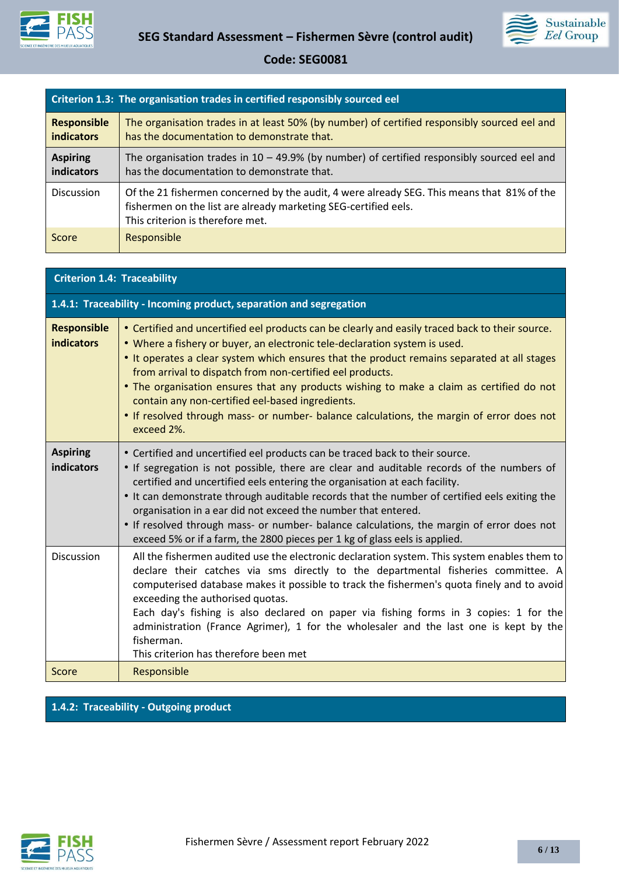



|                                         | Criterion 1.3: The organisation trades in certified responsibly sourced eel                                                                                                                       |
|-----------------------------------------|---------------------------------------------------------------------------------------------------------------------------------------------------------------------------------------------------|
| <b>Responsible</b><br><b>indicators</b> | The organisation trades in at least 50% (by number) of certified responsibly sourced eel and<br>has the documentation to demonstrate that.                                                        |
| <b>Aspiring</b><br>indicators           | The organisation trades in $10 - 49.9\%$ (by number) of certified responsibly sourced eel and<br>has the documentation to demonstrate that.                                                       |
| <b>Discussion</b>                       | Of the 21 fishermen concerned by the audit, 4 were already SEG. This means that 81% of the<br>fishermen on the list are already marketing SEG-certified eels.<br>This criterion is therefore met. |
| Score                                   | Responsible                                                                                                                                                                                       |

## **Criterion 1.4: Traceability**

|                                      | 1.4.1: Traceability - Incoming product, separation and segregation                                                                                                                                                                                                                                                                                                                                                                                                                                                                                                                                   |
|--------------------------------------|------------------------------------------------------------------------------------------------------------------------------------------------------------------------------------------------------------------------------------------------------------------------------------------------------------------------------------------------------------------------------------------------------------------------------------------------------------------------------------------------------------------------------------------------------------------------------------------------------|
| <b>Responsible</b><br>indicators     | • Certified and uncertified eel products can be clearly and easily traced back to their source.<br>• Where a fishery or buyer, an electronic tele-declaration system is used.<br>• It operates a clear system which ensures that the product remains separated at all stages<br>from arrival to dispatch from non-certified eel products.<br>• The organisation ensures that any products wishing to make a claim as certified do not<br>contain any non-certified eel-based ingredients.<br>. If resolved through mass- or number- balance calculations, the margin of error does not<br>exceed 2%. |
| <b>Aspiring</b><br><b>indicators</b> | • Certified and uncertified eel products can be traced back to their source.<br>• If segregation is not possible, there are clear and auditable records of the numbers of<br>certified and uncertified eels entering the organisation at each facility.<br>. It can demonstrate through auditable records that the number of certified eels exiting the<br>organisation in a ear did not exceed the number that entered.<br>• If resolved through mass- or number- balance calculations, the margin of error does not<br>exceed 5% or if a farm, the 2800 pieces per 1 kg of glass eels is applied.  |
| <b>Discussion</b>                    | All the fishermen audited use the electronic declaration system. This system enables them to<br>declare their catches via sms directly to the departmental fisheries committee. A<br>computerised database makes it possible to track the fishermen's quota finely and to avoid<br>exceeding the authorised quotas.<br>Each day's fishing is also declared on paper via fishing forms in 3 copies: 1 for the<br>administration (France Agrimer), 1 for the wholesaler and the last one is kept by the<br>fisherman.<br>This criterion has therefore been met                                         |
| Score                                | Responsible                                                                                                                                                                                                                                                                                                                                                                                                                                                                                                                                                                                          |

# **1.4.2: Traceability - Outgoing product**

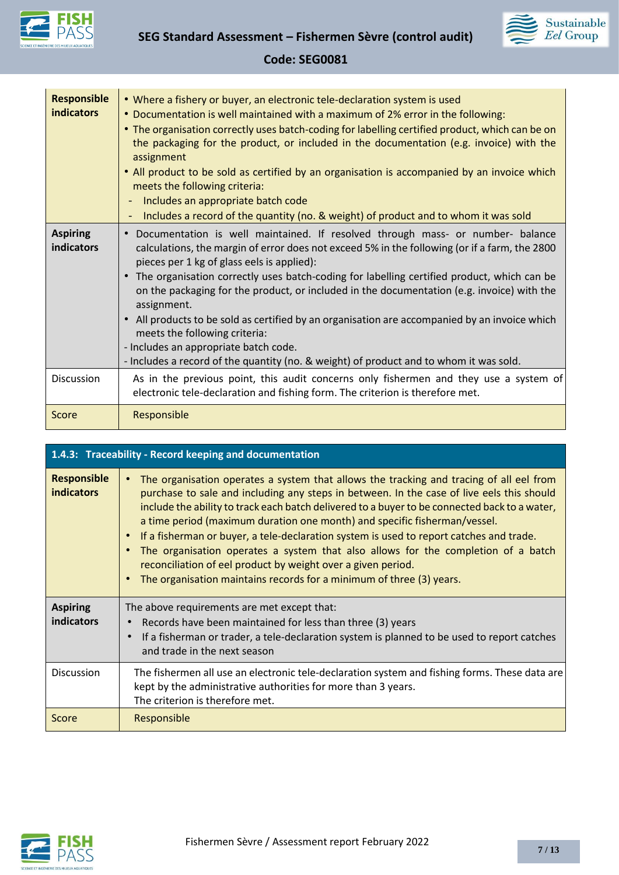



| <b>Responsible</b><br>indicators | . Where a fishery or buyer, an electronic tele-declaration system is used<br>• Documentation is well maintained with a maximum of 2% error in the following:<br>• The organisation correctly uses batch-coding for labelling certified product, which can be on<br>the packaging for the product, or included in the documentation (e.g. invoice) with the<br>assignment<br>• All product to be sold as certified by an organisation is accompanied by an invoice which<br>meets the following criteria:<br>Includes an appropriate batch code<br>Includes a record of the quantity (no. & weight) of product and to whom it was sold                                                                                                              |
|----------------------------------|----------------------------------------------------------------------------------------------------------------------------------------------------------------------------------------------------------------------------------------------------------------------------------------------------------------------------------------------------------------------------------------------------------------------------------------------------------------------------------------------------------------------------------------------------------------------------------------------------------------------------------------------------------------------------------------------------------------------------------------------------|
| <b>Aspiring</b><br>indicators    | Documentation is well maintained. If resolved through mass- or number- balance<br>$\bullet$<br>calculations, the margin of error does not exceed 5% in the following (or if a farm, the 2800<br>pieces per 1 kg of glass eels is applied):<br>The organisation correctly uses batch-coding for labelling certified product, which can be<br>$\bullet$<br>on the packaging for the product, or included in the documentation (e.g. invoice) with the<br>assignment.<br>All products to be sold as certified by an organisation are accompanied by an invoice which<br>$\bullet$<br>meets the following criteria:<br>- Includes an appropriate batch code.<br>- Includes a record of the quantity (no. & weight) of product and to whom it was sold. |
| <b>Discussion</b>                | As in the previous point, this audit concerns only fishermen and they use a system of<br>electronic tele-declaration and fishing form. The criterion is therefore met.                                                                                                                                                                                                                                                                                                                                                                                                                                                                                                                                                                             |
| Score                            | Responsible                                                                                                                                                                                                                                                                                                                                                                                                                                                                                                                                                                                                                                                                                                                                        |

| 1.4.3: Traceability - Record keeping and documentation |                                                                                                                                                                                                                                                                                                                                                                                                                                                                                                                                                                                                                                                                                            |
|--------------------------------------------------------|--------------------------------------------------------------------------------------------------------------------------------------------------------------------------------------------------------------------------------------------------------------------------------------------------------------------------------------------------------------------------------------------------------------------------------------------------------------------------------------------------------------------------------------------------------------------------------------------------------------------------------------------------------------------------------------------|
| <b>Responsible</b><br><b>indicators</b>                | The organisation operates a system that allows the tracking and tracing of all eel from<br>purchase to sale and including any steps in between. In the case of live eels this should<br>include the ability to track each batch delivered to a buyer to be connected back to a water,<br>a time period (maximum duration one month) and specific fisherman/vessel.<br>If a fisherman or buyer, a tele-declaration system is used to report catches and trade.<br>The organisation operates a system that also allows for the completion of a batch<br>reconciliation of eel product by weight over a given period.<br>The organisation maintains records for a minimum of three (3) years. |
| <b>Aspiring</b><br><b>indicators</b>                   | The above requirements are met except that:<br>Records have been maintained for less than three (3) years<br>If a fisherman or trader, a tele-declaration system is planned to be used to report catches<br>and trade in the next season                                                                                                                                                                                                                                                                                                                                                                                                                                                   |
| <b>Discussion</b>                                      | The fishermen all use an electronic tele-declaration system and fishing forms. These data are<br>kept by the administrative authorities for more than 3 years.<br>The criterion is therefore met.                                                                                                                                                                                                                                                                                                                                                                                                                                                                                          |
| Score                                                  | Responsible                                                                                                                                                                                                                                                                                                                                                                                                                                                                                                                                                                                                                                                                                |

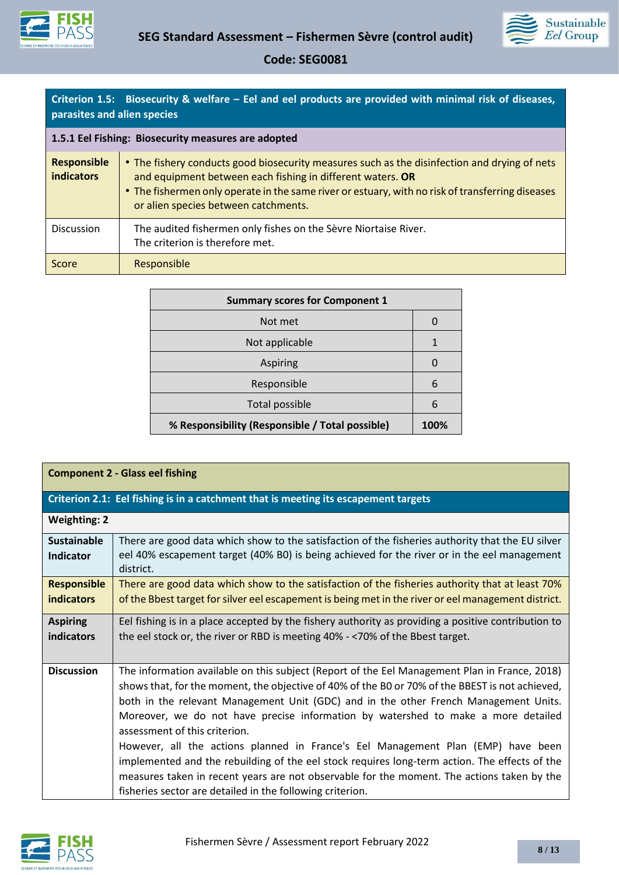



|                             | Criterion 1.5: Biosecurity & welfare – Eel and eel products are provided with minimal risk of diseases, |
|-----------------------------|---------------------------------------------------------------------------------------------------------|
| parasites and alien species |                                                                                                         |

| 1.5.1 Eel Fishing: Biosecurity measures are adopted |                                                                                                                                                                                                                                                                                                        |
|-----------------------------------------------------|--------------------------------------------------------------------------------------------------------------------------------------------------------------------------------------------------------------------------------------------------------------------------------------------------------|
| <b>Responsible</b><br><b>indicators</b>             | • The fishery conducts good biosecurity measures such as the disinfection and drying of nets<br>and equipment between each fishing in different waters. OR<br>• The fishermen only operate in the same river or estuary, with no risk of transferring diseases<br>or alien species between catchments. |
| Discussion                                          | The audited fishermen only fishes on the Sèvre Niortaise River.<br>The criterion is therefore met.                                                                                                                                                                                                     |
| Score                                               | Responsible                                                                                                                                                                                                                                                                                            |

| <b>Summary scores for Component 1</b>           |      |
|-------------------------------------------------|------|
| Not met                                         | U    |
| Not applicable                                  |      |
| Aspiring                                        | 0    |
| Responsible                                     | 6    |
| Total possible                                  | 6    |
| % Responsibility (Responsible / Total possible) | 100% |

| <b>Component 2 - Glass eel fishing</b>  |                                                                                                                                                                                                                                                                                                                                                                                                                                                                                                                                                                                                                                                                                                                                                                |  |
|-----------------------------------------|----------------------------------------------------------------------------------------------------------------------------------------------------------------------------------------------------------------------------------------------------------------------------------------------------------------------------------------------------------------------------------------------------------------------------------------------------------------------------------------------------------------------------------------------------------------------------------------------------------------------------------------------------------------------------------------------------------------------------------------------------------------|--|
|                                         | Criterion 2.1: Eel fishing is in a catchment that is meeting its escapement targets                                                                                                                                                                                                                                                                                                                                                                                                                                                                                                                                                                                                                                                                            |  |
| <b>Weighting: 2</b>                     |                                                                                                                                                                                                                                                                                                                                                                                                                                                                                                                                                                                                                                                                                                                                                                |  |
| <b>Sustainable</b><br>Indicator         | There are good data which show to the satisfaction of the fisheries authority that the EU silver<br>eel 40% escapement target (40% B0) is being achieved for the river or in the eel management<br>district.                                                                                                                                                                                                                                                                                                                                                                                                                                                                                                                                                   |  |
| <b>Responsible</b><br><b>indicators</b> | There are good data which show to the satisfaction of the fisheries authority that at least 70%<br>of the Bbest target for silver eel escapement is being met in the river or eel management district.                                                                                                                                                                                                                                                                                                                                                                                                                                                                                                                                                         |  |
| <b>Aspiring</b><br>indicators           | Eel fishing is in a place accepted by the fishery authority as providing a positive contribution to<br>the eel stock or, the river or RBD is meeting 40% - <70% of the Bbest target.                                                                                                                                                                                                                                                                                                                                                                                                                                                                                                                                                                           |  |
| <b>Discussion</b>                       | The information available on this subject (Report of the Eel Management Plan in France, 2018)<br>shows that, for the moment, the objective of 40% of the B0 or 70% of the BBEST is not achieved,<br>both in the relevant Management Unit (GDC) and in the other French Management Units.<br>Moreover, we do not have precise information by watershed to make a more detailed<br>assessment of this criterion.<br>However, all the actions planned in France's Eel Management Plan (EMP) have been<br>implemented and the rebuilding of the eel stock requires long-term action. The effects of the<br>measures taken in recent years are not observable for the moment. The actions taken by the<br>fisheries sector are detailed in the following criterion. |  |

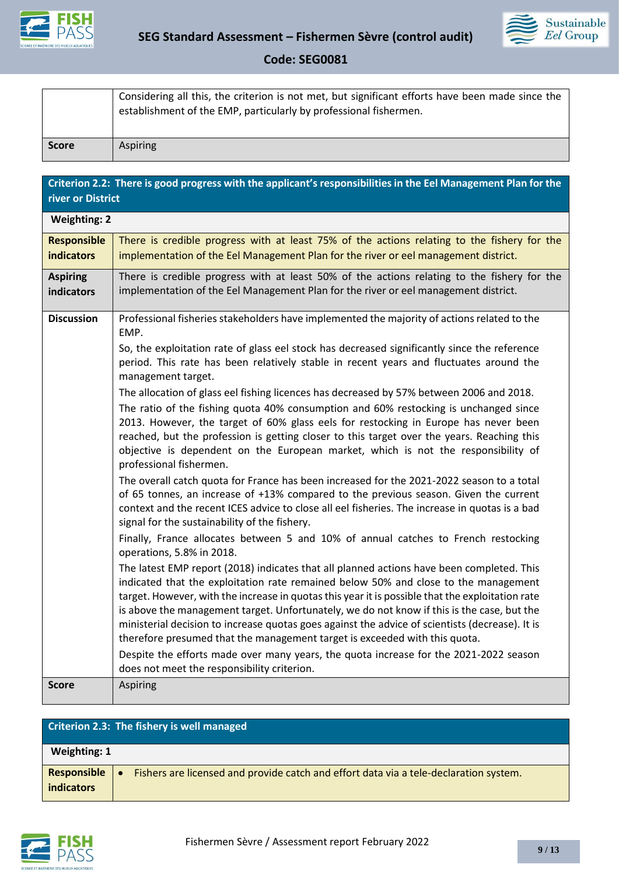



|              | Considering all this, the criterion is not met, but significant efforts have been made since the<br>establishment of the EMP, particularly by professional fishermen. |
|--------------|-----------------------------------------------------------------------------------------------------------------------------------------------------------------------|
| <b>Score</b> | Aspiring                                                                                                                                                              |

| Criterion 2.2: There is good progress with the applicant's responsibilities in the Eel Management Plan for the<br>river or District |                                                                                                                                                                                                                                                                                                                                                                                                                                                                                                                                                                     |
|-------------------------------------------------------------------------------------------------------------------------------------|---------------------------------------------------------------------------------------------------------------------------------------------------------------------------------------------------------------------------------------------------------------------------------------------------------------------------------------------------------------------------------------------------------------------------------------------------------------------------------------------------------------------------------------------------------------------|
| <b>Weighting: 2</b>                                                                                                                 |                                                                                                                                                                                                                                                                                                                                                                                                                                                                                                                                                                     |
| <b>Responsible</b>                                                                                                                  | There is credible progress with at least 75% of the actions relating to the fishery for the                                                                                                                                                                                                                                                                                                                                                                                                                                                                         |
| <b>indicators</b>                                                                                                                   | implementation of the Eel Management Plan for the river or eel management district.                                                                                                                                                                                                                                                                                                                                                                                                                                                                                 |
| <b>Aspiring</b><br>indicators                                                                                                       | There is credible progress with at least 50% of the actions relating to the fishery for the<br>implementation of the Eel Management Plan for the river or eel management district.                                                                                                                                                                                                                                                                                                                                                                                  |
| <b>Discussion</b>                                                                                                                   | Professional fisheries stakeholders have implemented the majority of actions related to the<br>EMP.                                                                                                                                                                                                                                                                                                                                                                                                                                                                 |
|                                                                                                                                     | So, the exploitation rate of glass eel stock has decreased significantly since the reference<br>period. This rate has been relatively stable in recent years and fluctuates around the<br>management target.                                                                                                                                                                                                                                                                                                                                                        |
|                                                                                                                                     | The allocation of glass eel fishing licences has decreased by 57% between 2006 and 2018.                                                                                                                                                                                                                                                                                                                                                                                                                                                                            |
|                                                                                                                                     | The ratio of the fishing quota 40% consumption and 60% restocking is unchanged since<br>2013. However, the target of 60% glass eels for restocking in Europe has never been<br>reached, but the profession is getting closer to this target over the years. Reaching this<br>objective is dependent on the European market, which is not the responsibility of<br>professional fishermen.                                                                                                                                                                           |
|                                                                                                                                     | The overall catch quota for France has been increased for the 2021-2022 season to a total<br>of 65 tonnes, an increase of +13% compared to the previous season. Given the current<br>context and the recent ICES advice to close all eel fisheries. The increase in quotas is a bad<br>signal for the sustainability of the fishery.                                                                                                                                                                                                                                |
|                                                                                                                                     | Finally, France allocates between 5 and 10% of annual catches to French restocking<br>operations, 5.8% in 2018.                                                                                                                                                                                                                                                                                                                                                                                                                                                     |
|                                                                                                                                     | The latest EMP report (2018) indicates that all planned actions have been completed. This<br>indicated that the exploitation rate remained below 50% and close to the management<br>target. However, with the increase in quotas this year it is possible that the exploitation rate<br>is above the management target. Unfortunately, we do not know if this is the case, but the<br>ministerial decision to increase quotas goes against the advice of scientists (decrease). It is<br>therefore presumed that the management target is exceeded with this quota. |
|                                                                                                                                     | Despite the efforts made over many years, the quota increase for the 2021-2022 season<br>does not meet the responsibility criterion.                                                                                                                                                                                                                                                                                                                                                                                                                                |
| <b>Score</b>                                                                                                                        | Aspiring                                                                                                                                                                                                                                                                                                                                                                                                                                                                                                                                                            |

|                                  | Criterion 2.3: The fishery is well managed                                            |
|----------------------------------|---------------------------------------------------------------------------------------|
| Weighting: 1                     |                                                                                       |
| Responsible<br><b>indicators</b> | Fishers are licensed and provide catch and effort data via a tele-declaration system. |

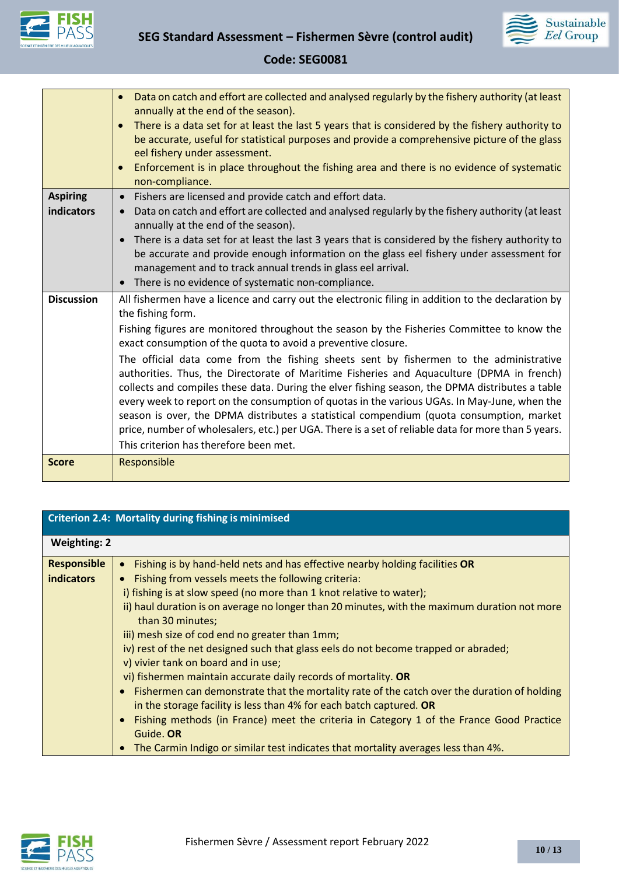



|                               | Data on catch and effort are collected and analysed regularly by the fishery authority (at least<br>annually at the end of the season).                                                                                                                                                                                                                                                                                                                                                                                                                                                                                                                                                                                                                                                                                                                                                                                       |
|-------------------------------|-------------------------------------------------------------------------------------------------------------------------------------------------------------------------------------------------------------------------------------------------------------------------------------------------------------------------------------------------------------------------------------------------------------------------------------------------------------------------------------------------------------------------------------------------------------------------------------------------------------------------------------------------------------------------------------------------------------------------------------------------------------------------------------------------------------------------------------------------------------------------------------------------------------------------------|
|                               | There is a data set for at least the last 5 years that is considered by the fishery authority to<br>$\bullet$<br>be accurate, useful for statistical purposes and provide a comprehensive picture of the glass<br>eel fishery under assessment.                                                                                                                                                                                                                                                                                                                                                                                                                                                                                                                                                                                                                                                                               |
|                               | Enforcement is in place throughout the fishing area and there is no evidence of systematic<br>$\bullet$<br>non-compliance.                                                                                                                                                                                                                                                                                                                                                                                                                                                                                                                                                                                                                                                                                                                                                                                                    |
| <b>Aspiring</b><br>indicators | Fishers are licensed and provide catch and effort data.<br>$\bullet$<br>Data on catch and effort are collected and analysed regularly by the fishery authority (at least<br>$\bullet$<br>annually at the end of the season).<br>There is a data set for at least the last 3 years that is considered by the fishery authority to<br>$\bullet$<br>be accurate and provide enough information on the glass eel fishery under assessment for<br>management and to track annual trends in glass eel arrival.<br>There is no evidence of systematic non-compliance.<br>$\bullet$                                                                                                                                                                                                                                                                                                                                                   |
| <b>Discussion</b>             | All fishermen have a licence and carry out the electronic filing in addition to the declaration by<br>the fishing form.<br>Fishing figures are monitored throughout the season by the Fisheries Committee to know the<br>exact consumption of the quota to avoid a preventive closure.<br>The official data come from the fishing sheets sent by fishermen to the administrative<br>authorities. Thus, the Directorate of Maritime Fisheries and Aquaculture (DPMA in french)<br>collects and compiles these data. During the elver fishing season, the DPMA distributes a table<br>every week to report on the consumption of quotas in the various UGAs. In May-June, when the<br>season is over, the DPMA distributes a statistical compendium (quota consumption, market<br>price, number of wholesalers, etc.) per UGA. There is a set of reliable data for more than 5 years.<br>This criterion has therefore been met. |
| <b>Score</b>                  | Responsible                                                                                                                                                                                                                                                                                                                                                                                                                                                                                                                                                                                                                                                                                                                                                                                                                                                                                                                   |

| <b>Criterion 2.4: Mortality during fishing is minimised</b> |                                                                                                                                                                                                                                                                                                                                                                                                                                                                                                                                                                                                            |
|-------------------------------------------------------------|------------------------------------------------------------------------------------------------------------------------------------------------------------------------------------------------------------------------------------------------------------------------------------------------------------------------------------------------------------------------------------------------------------------------------------------------------------------------------------------------------------------------------------------------------------------------------------------------------------|
| <b>Weighting: 2</b>                                         |                                                                                                                                                                                                                                                                                                                                                                                                                                                                                                                                                                                                            |
| <b>Responsible</b><br><b>indicators</b>                     | Fishing is by hand-held nets and has effective nearby holding facilities OR<br>$\bullet$<br>Fishing from vessels meets the following criteria:<br>$\bullet$<br>i) fishing is at slow speed (no more than 1 knot relative to water);<br>ii) haul duration is on average no longer than 20 minutes, with the maximum duration not more<br>than 30 minutes;<br>iii) mesh size of cod end no greater than 1mm;<br>iv) rest of the net designed such that glass eels do not become trapped or abraded;<br>v) vivier tank on board and in use;<br>vi) fishermen maintain accurate daily records of mortality. OR |
|                                                             | • Fishermen can demonstrate that the mortality rate of the catch over the duration of holding<br>in the storage facility is less than 4% for each batch captured. OR<br>Fishing methods (in France) meet the criteria in Category 1 of the France Good Practice<br>$\bullet$<br>Guide. OR<br>The Carmin Indigo or similar test indicates that mortality averages less than 4%.<br>$\bullet$                                                                                                                                                                                                                |

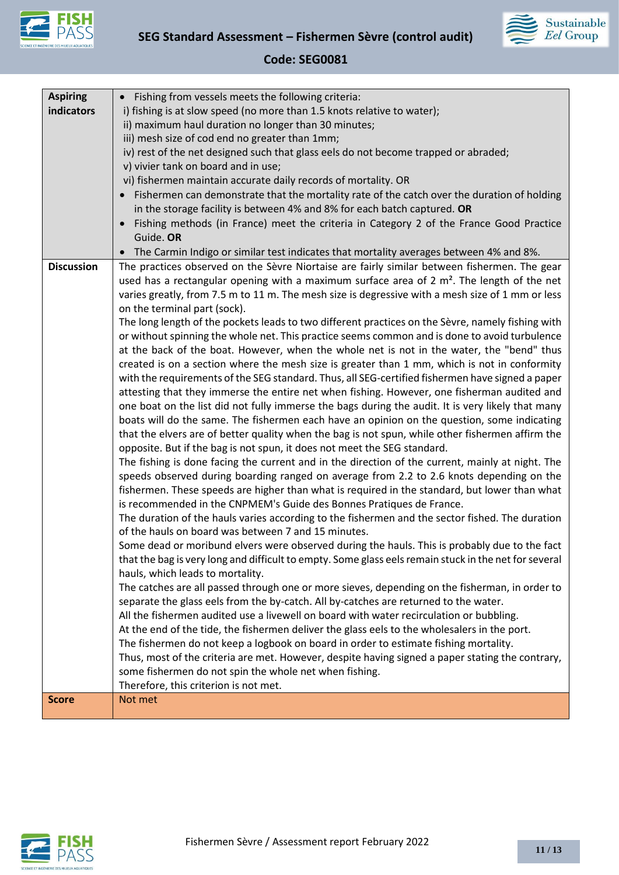



| <b>Aspiring</b>   | Fishing from vessels meets the following criteria:<br>$\bullet$                                                                                                                      |
|-------------------|--------------------------------------------------------------------------------------------------------------------------------------------------------------------------------------|
| indicators        | i) fishing is at slow speed (no more than 1.5 knots relative to water);                                                                                                              |
|                   | ii) maximum haul duration no longer than 30 minutes;                                                                                                                                 |
|                   | iii) mesh size of cod end no greater than 1mm;                                                                                                                                       |
|                   | iv) rest of the net designed such that glass eels do not become trapped or abraded;                                                                                                  |
|                   | v) vivier tank on board and in use;                                                                                                                                                  |
|                   | vi) fishermen maintain accurate daily records of mortality. OR                                                                                                                       |
|                   | Fishermen can demonstrate that the mortality rate of the catch over the duration of holding<br>$\bullet$                                                                             |
|                   | in the storage facility is between 4% and 8% for each batch captured. OR                                                                                                             |
|                   | Fishing methods (in France) meet the criteria in Category 2 of the France Good Practice<br>$\bullet$                                                                                 |
|                   | Guide. OR                                                                                                                                                                            |
|                   | The Carmin Indigo or similar test indicates that mortality averages between 4% and 8%.<br>$\bullet$                                                                                  |
| <b>Discussion</b> | The practices observed on the Sèvre Niortaise are fairly similar between fishermen. The gear                                                                                         |
|                   | used has a rectangular opening with a maximum surface area of 2 $m2$ . The length of the net                                                                                         |
|                   | varies greatly, from 7.5 m to 11 m. The mesh size is degressive with a mesh size of 1 mm or less                                                                                     |
|                   | on the terminal part (sock).                                                                                                                                                         |
|                   | The long length of the pockets leads to two different practices on the Sèvre, namely fishing with                                                                                    |
|                   | or without spinning the whole net. This practice seems common and is done to avoid turbulence                                                                                        |
|                   | at the back of the boat. However, when the whole net is not in the water, the "bend" thus                                                                                            |
|                   | created is on a section where the mesh size is greater than 1 mm, which is not in conformity                                                                                         |
|                   | with the requirements of the SEG standard. Thus, all SEG-certified fishermen have signed a paper                                                                                     |
|                   | attesting that they immerse the entire net when fishing. However, one fisherman audited and                                                                                          |
|                   | one boat on the list did not fully immerse the bags during the audit. It is very likely that many                                                                                    |
|                   | boats will do the same. The fishermen each have an opinion on the question, some indicating                                                                                          |
|                   | that the elvers are of better quality when the bag is not spun, while other fishermen affirm the                                                                                     |
|                   | opposite. But if the bag is not spun, it does not meet the SEG standard.                                                                                                             |
|                   | The fishing is done facing the current and in the direction of the current, mainly at night. The                                                                                     |
|                   | speeds observed during boarding ranged on average from 2.2 to 2.6 knots depending on the                                                                                             |
|                   | fishermen. These speeds are higher than what is required in the standard, but lower than what                                                                                        |
|                   | is recommended in the CNPMEM's Guide des Bonnes Pratiques de France.                                                                                                                 |
|                   | The duration of the hauls varies according to the fishermen and the sector fished. The duration                                                                                      |
|                   | of the hauls on board was between 7 and 15 minutes.                                                                                                                                  |
|                   | Some dead or moribund elvers were observed during the hauls. This is probably due to the fact                                                                                        |
|                   | that the bag is very long and difficult to empty. Some glass eels remain stuck in the net for several                                                                                |
|                   | hauls, which leads to mortality.                                                                                                                                                     |
|                   | The catches are all passed through one or more sieves, depending on the fisherman, in order to                                                                                       |
|                   | separate the glass eels from the by-catch. All by-catches are returned to the water.<br>All the fishermen audited use a livewell on board with water recirculation or bubbling.      |
|                   |                                                                                                                                                                                      |
|                   | At the end of the tide, the fishermen deliver the glass eels to the wholesalers in the port.<br>The fishermen do not keep a logbook on board in order to estimate fishing mortality. |
|                   | Thus, most of the criteria are met. However, despite having signed a paper stating the contrary,                                                                                     |
|                   | some fishermen do not spin the whole net when fishing.                                                                                                                               |
|                   | Therefore, this criterion is not met.                                                                                                                                                |
| <b>Score</b>      | Not met                                                                                                                                                                              |
|                   |                                                                                                                                                                                      |

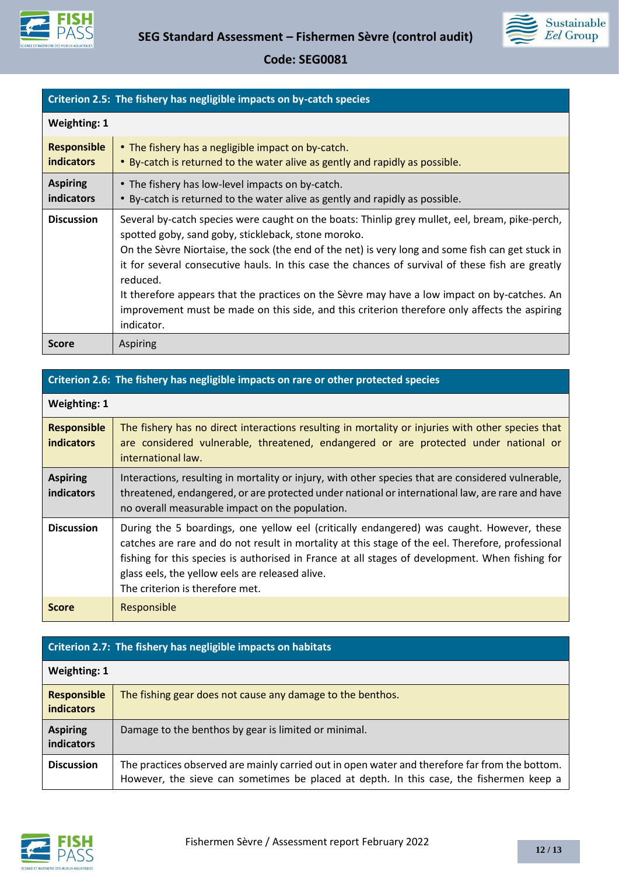



| Criterion 2.5: The fishery has negligible impacts on by-catch species |                                                                                                                                                                                                                                                                                                                                                                                                                                                                                                                                                                                            |
|-----------------------------------------------------------------------|--------------------------------------------------------------------------------------------------------------------------------------------------------------------------------------------------------------------------------------------------------------------------------------------------------------------------------------------------------------------------------------------------------------------------------------------------------------------------------------------------------------------------------------------------------------------------------------------|
| <b>Weighting: 1</b>                                                   |                                                                                                                                                                                                                                                                                                                                                                                                                                                                                                                                                                                            |
| <b>Responsible</b><br><b>indicators</b>                               | • The fishery has a negligible impact on by-catch.<br>• By-catch is returned to the water alive as gently and rapidly as possible.                                                                                                                                                                                                                                                                                                                                                                                                                                                         |
| <b>Aspiring</b><br>indicators                                         | • The fishery has low-level impacts on by-catch.<br>• By-catch is returned to the water alive as gently and rapidly as possible.                                                                                                                                                                                                                                                                                                                                                                                                                                                           |
| <b>Discussion</b>                                                     | Several by-catch species were caught on the boats: Thinlip grey mullet, eel, bream, pike-perch,<br>spotted goby, sand goby, stickleback, stone moroko.<br>On the Sèvre Niortaise, the sock (the end of the net) is very long and some fish can get stuck in<br>it for several consecutive hauls. In this case the chances of survival of these fish are greatly<br>reduced.<br>It therefore appears that the practices on the Sèvre may have a low impact on by-catches. An<br>improvement must be made on this side, and this criterion therefore only affects the aspiring<br>indicator. |
| <b>Score</b>                                                          | <b>Aspiring</b>                                                                                                                                                                                                                                                                                                                                                                                                                                                                                                                                                                            |

### **Criterion 2.6: The fishery has negligible impacts on rare or other protected species**

| <b>Weighting: 1</b>              |                                                                                                                                                                                                                                                                                                                                                                                         |  |
|----------------------------------|-----------------------------------------------------------------------------------------------------------------------------------------------------------------------------------------------------------------------------------------------------------------------------------------------------------------------------------------------------------------------------------------|--|
| <b>Responsible</b><br>indicators | The fishery has no direct interactions resulting in mortality or injuries with other species that<br>are considered vulnerable, threatened, endangered or are protected under national or<br>international law.                                                                                                                                                                         |  |
| <b>Aspiring</b><br>indicators    | Interactions, resulting in mortality or injury, with other species that are considered vulnerable,<br>threatened, endangered, or are protected under national or international law, are rare and have<br>no overall measurable impact on the population.                                                                                                                                |  |
| <b>Discussion</b>                | During the 5 boardings, one yellow eel (critically endangered) was caught. However, these<br>catches are rare and do not result in mortality at this stage of the eel. Therefore, professional<br>fishing for this species is authorised in France at all stages of development. When fishing for<br>glass eels, the yellow eels are released alive.<br>The criterion is therefore met. |  |
| <b>Score</b>                     | Responsible                                                                                                                                                                                                                                                                                                                                                                             |  |

| Criterion 2.7: The fishery has negligible impacts on habitats |                                                                                                                                                                                           |  |  |
|---------------------------------------------------------------|-------------------------------------------------------------------------------------------------------------------------------------------------------------------------------------------|--|--|
| <b>Weighting: 1</b>                                           |                                                                                                                                                                                           |  |  |
| <b>Responsible</b><br><b>indicators</b>                       | The fishing gear does not cause any damage to the benthos.                                                                                                                                |  |  |
| <b>Aspiring</b><br>indicators                                 | Damage to the benthos by gear is limited or minimal.                                                                                                                                      |  |  |
| <b>Discussion</b>                                             | The practices observed are mainly carried out in open water and therefore far from the bottom.<br>However, the sieve can sometimes be placed at depth. In this case, the fishermen keep a |  |  |